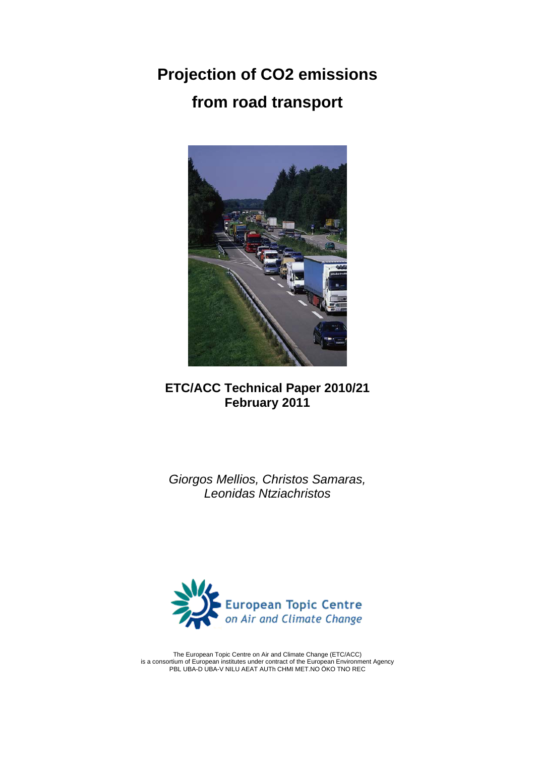**Projection of CO2 emissions from road transport** 



# **ETC/ACC Technical Paper 2010/21 February 2011**

*Giorgos Mellios, Christos Samaras, Leonidas Ntziachristos* 



The European Topic Centre on Air and Climate Change (ETC/ACC) is a consortium of European institutes under contract of the European Environment Agency PBL UBA-D UBA-V NILU AEAT AUTh CHMI MET.NO ÖKO TNO REC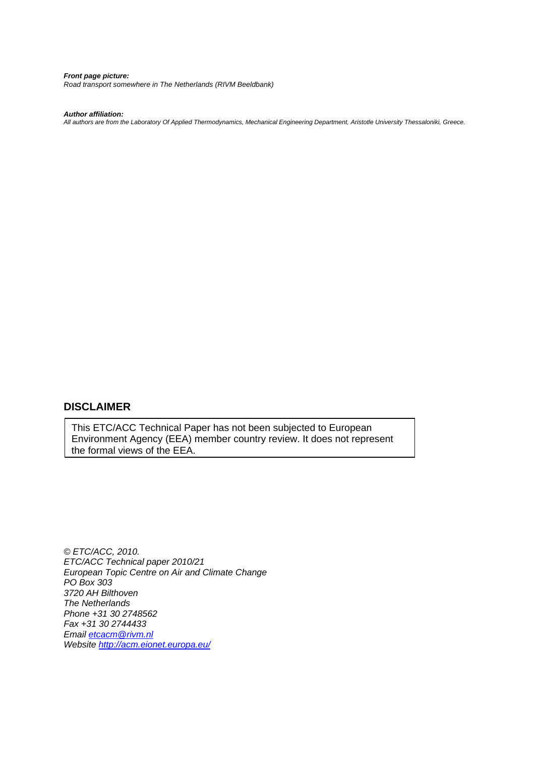*Front page picture: Road transport somewhere in The Netherlands (RIVM Beeldbank)* 

#### *Author affiliation:*

*All authors are from the Laboratory Of Applied Thermodynamics, Mechanical Engineering Department, Aristotle University Thessaloniki, Greece.* 

## **DISCLAIMER**

This ETC/ACC Technical Paper has not been subjected to European Environment Agency (EEA) member country review. It does not represent the formal views of the EEA.

*© ETC/ACC, 2010. ETC/ACC Technical paper 2010/21 European Topic Centre on Air and Climate Change PO Box 303 3720 AH Bilthoven The Netherlands Phone +31 30 2748562 Fax +31 30 2744433 Email [etcacm@rivm.nl](mailto:etcacm@rivm.nl)  Website <http://acm.eionet.europa.eu/>*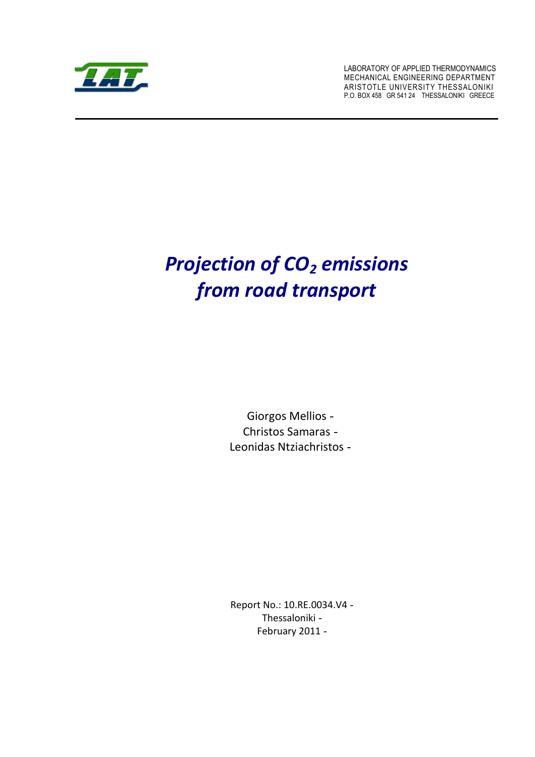

 LABORATORY OF APPLIED THERMODYNAMICS P.O. BOX 458 GR 541 24 THESSALONIKI GREECE MECHANICAL ENGINEERING DEPARTMENT ARISTOTLE UNIVERSITY THESSALONIKI

# **Projection of CO<sub>2</sub> emissions**  *from road transport*

 Giorgos Mellios Christos Samaras Leonidas Ntziachristos

 Report No.: 10.RE.0034.V4 February 2011 Thessaloniki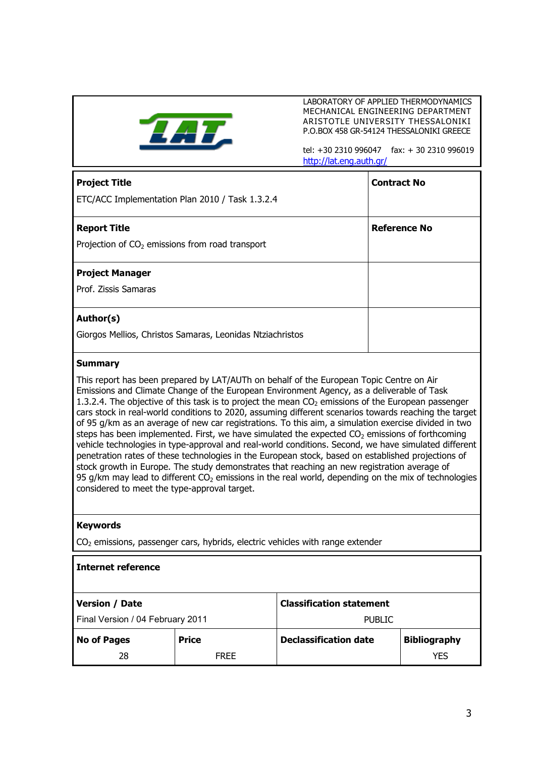

 LABORATORY OF APPLIED THERMODYNAMICS P.O.BOX 458 GR-54124 THESSALONIKI GREECE MECHANICAL ENGINEERING DEPARTMENT ARISTOTLE UNIVERSITY THESSALONIKI

 tel: +30 2310 996047 fax: + 30 2310 996019 <http://lat.eng.auth.gr/>

| <b>Project Title</b>                                      | <b>Contract No</b>  |
|-----------------------------------------------------------|---------------------|
| ETC/ACC Implementation Plan 2010 / Task 1.3.2.4           |                     |
| <b>Report Title</b>                                       | <b>Reference No</b> |
| Projection of $CO2$ emissions from road transport         |                     |
| <b>Project Manager</b>                                    |                     |
| Prof. Zissis Samaras                                      |                     |
| Author(s)                                                 |                     |
| Giorgos Mellios, Christos Samaras, Leonidas Ntziachristos |                     |

## **Summary**

 This report has been prepared by LAT/AUTh on behalf of the European Topic Centre on Air Emissions and Climate Change of the European Environment Agency, as a deliverable of Task 1.3.2.4. The objective of this task is to project the mean  $CO<sub>2</sub>$  emissions of the European passenger cars stock in real-world conditions to 2020, assuming different scenarios towards reaching the target of 95 g/km as an average of new car registrations. To this aim, a simulation exercise divided in two steps has been implemented. First, we have simulated the expected  $CO_2$  emissions of forthcoming vehicle technologies in type-approval and real-world conditions. Second, we have simulated different penetration rates of these technologies in the European stock, based on established projections of stock growth in Europe. The study demonstrates that reaching an new registration average of 95 g/km may lead to different CO<sub>2</sub> emissions in the real world, depending on the mix of technologies considered to meet the type-approval target.

### **Keywords**

 $CO<sub>2</sub>$  emissions, passenger cars, hybrids, electric vehicles with range extender

| l Internet reference             |              |                                 |                     |
|----------------------------------|--------------|---------------------------------|---------------------|
| <b>Version / Date</b>            |              | <b>Classification statement</b> |                     |
| Final Version / 04 February 2011 |              | <b>PUBLIC</b>                   |                     |
| <b>No of Pages</b>               | <b>Price</b> | <b>Declassification date</b>    | <b>Bibliography</b> |
| 28                               | <b>FRFF</b>  |                                 | <b>YES</b>          |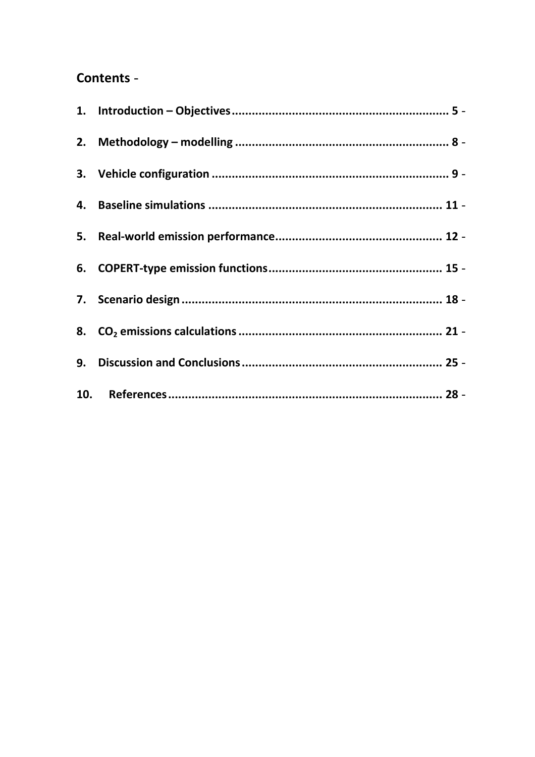# Contents -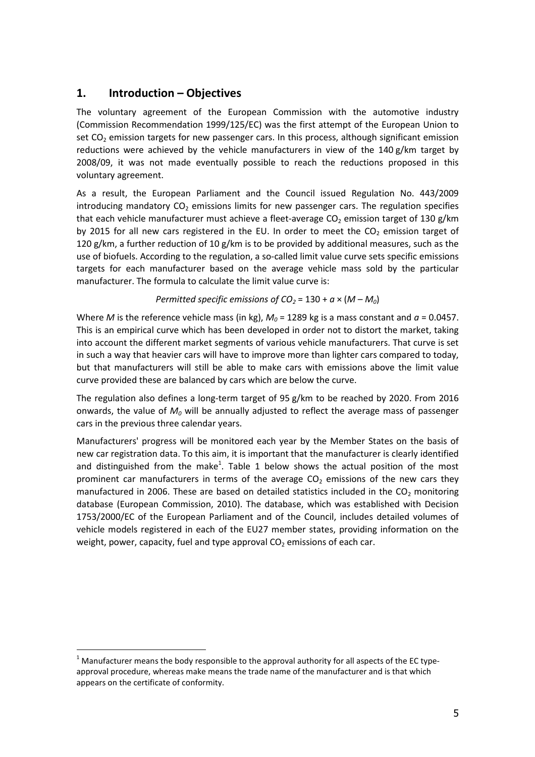# <span id="page-6-0"></span> **1. Introduction – Objectives**

 The voluntary agreement of the European Commission with the automotive industry (Commission Recommendation 1999/125/EC) was the first attempt of the European Union to set  $CO<sub>2</sub>$  emission targets for new passenger cars. In this process, although significant emission reductions were achieved by the vehicle manufacturers in view of the 140 g/km target by 2008/09, it was not made eventually possible to reach the reductions proposed in this voluntary agreement.

 As a result, the European Parliament and the Council issued Regulation No. 443/2009 introducing mandatory  $CO<sub>2</sub>$  emissions limits for new passenger cars. The regulation specifies that each vehicle manufacturer must achieve a fleet-average CO<sub>2</sub> emission target of 130 g/km by 2015 for all new cars registered in the EU. In order to meet the  $CO<sub>2</sub>$  emission target of 120 g/km, a further reduction of 10 g/km is to be provided by additional measures, such as the use of biofuels. According to the regulation, a so-called limit value curve sets specific emissions targets for each manufacturer based on the average vehicle mass sold by the particular manufacturer. The formula to calculate the limit value curve is:

*Permitted specific emissions of CO<sub>2</sub> = 130 +*  $a \times (M - M_0)$ 

Where *M* is the reference vehicle mass (in kg),  $M_0$  = 1289 kg is a mass constant and  $a$  = 0.0457. This is an empirical curve which has been developed in order not to distort the market, taking into account the different market segments of various vehicle manufacturers. That curve is set in such a way that heavier cars will have to improve more than lighter cars compared to today, but that manufacturers will still be able to make cars with emissions above the limit value curve provided these are balanced by cars which are below the curve.

 The regulation also defines a long-term target of 95 g/km to be reached by 2020. From 2016 onwards, the value of  $M_0$  will be annually adjusted to reflect the average mass of passenger cars in the previous three calendar years.

 Manufacturers' progress will be monitored each year by the Member States on the basis of new car registration data. To this aim, it is important that the manufacturer is clearly identified and distinguished from the make<sup>1</sup>. [Table 1](#page-7-0) below shows the actual position of the most prominent car manufacturers in terms of the average  $CO<sub>2</sub>$  emissions of the new cars they manufactured in 2006. These are based on detailed statistics included in the  $CO<sub>2</sub>$  monitoring database (European Commission, 2010). The database, which was established with Decision 1753/2000/EC of the European Parliament and of the Council, includes detailed volumes of vehicle models registered in each of the EU27 member states, providing information on the weight, power, capacity, fuel and type approval  $CO<sub>2</sub>$  emissions of each car.

 $^1$  Manufacturer means the body responsible to the approval authority for all aspects of the EC type- approval procedure, whereas make means the trade name of the manufacturer and is that which appears on the certificate of conformity.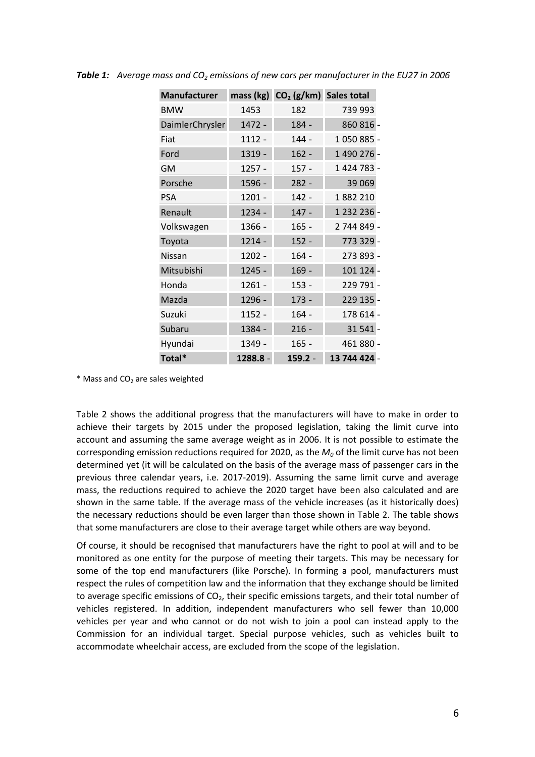| <b>Manufacturer</b> |          | mass (kg) CO <sub>2</sub> (g/km) Sales total |              |
|---------------------|----------|----------------------------------------------|--------------|
| <b>BMW</b>          | 1453     | 182                                          | 739 993      |
| DaimlerChrysler     | 1472 -   | 184 -                                        | 860 816 -    |
| Fiat                | 1112 -   | $144 -$                                      | 1050885 -    |
| Ford                | 1319 -   | $162 -$                                      | 1 490 276 -  |
| <b>GM</b>           | 1257 -   | $157 -$                                      | 1424783-     |
| Porsche             | 1596 -   | $282 -$                                      | 39 0 69      |
| <b>PSA</b>          | $1201 -$ | $142 -$                                      | 1882210      |
| Renault             | 1234 -   | $147 -$                                      | 1 232 236 -  |
| Volkswagen          | 1366 -   | $165 -$                                      | 2 744 849 -  |
| Toyota              | 1214 -   | $152 -$                                      | 773 329 -    |
| Nissan              | 1202 -   | $164 -$                                      | 273 893 -    |
| Mitsubishi          | 1245 -   | $169 -$                                      | 101 124 -    |
| Honda               | 1261 -   | $153 -$                                      | 229 791 -    |
| Mazda               | 1296 -   | $173 -$                                      | 229 135 -    |
| Suzuki              | 1152 -   | $164 -$                                      | 178 614 -    |
| Subaru              | 1384 -   | $216 -$                                      | 31 541 -     |
| Hyundai             | 1349 -   | $165 -$                                      | 461 880 -    |
| Total*              | 1288.8 - | $159.2 -$                                    | 13 744 424 - |

<span id="page-7-0"></span>**Table 1:** Average mass and CO<sub>2</sub> emissions of new cars per manufacturer in the EU27 in 2006

 $*$  Mass and CO<sub>2</sub> are sales weighted

 [Table 2](#page-8-0) shows the additional progress that the manufacturers will have to make in order to achieve their targets by 2015 under the proposed legislation, taking the limit curve into account and assuming the same average weight as in 2006. It is not possible to estimate the corresponding emission reductions required for 2020, as the  $M_0$  of the limit curve has not been determined yet (it will be calculated on the basis of the average mass of passenger cars in the previous three calendar years, i.e. 2017-2019). Assuming the same limit curve and average mass, the reductions required to achieve the 2020 target have been also calculated and are shown in the same table. If the average mass of the vehicle increases (as it historically does) the necessary reductions should be even larger than those shown in [Table 2.](#page-8-0) The table shows that some manufacturers are close to their average target while others are way beyond.

 Of course, it should be recognised that manufacturers have the right to pool at will and to be monitored as one entity for the purpose of meeting their targets. This may be necessary for some of the top end manufacturers (like Porsche). In forming a pool, manufacturers must respect the rules of competition law and the information that they exchange should be limited to average specific emissions of  $CO<sub>2</sub>$ , their specific emissions targets, and their total number of vehicles registered. In addition, independent manufacturers who sell fewer than 10,000 vehicles per year and who cannot or do not wish to join a pool can instead apply to the Commission for an individual target. Special purpose vehicles, such as vehicles built to accommodate wheelchair access, are excluded from the scope of the legislation.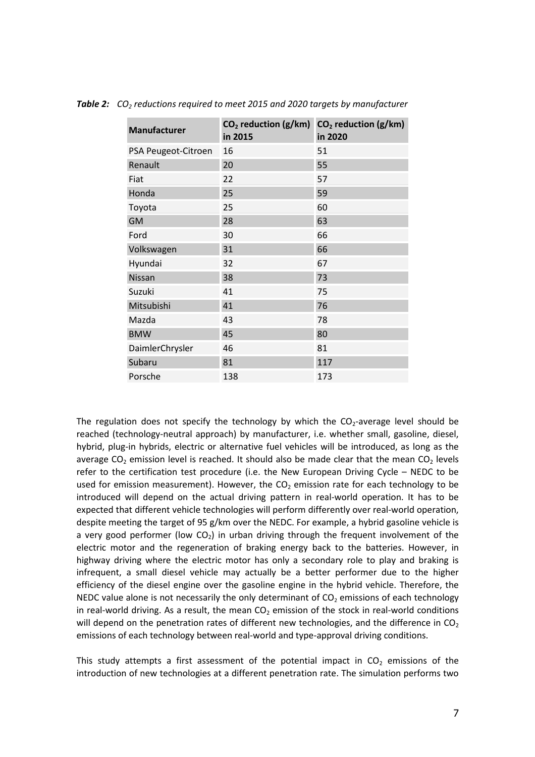| <b>Manufacturer</b> | CO <sub>2</sub> reduction (g/km)<br>in 2015 | $CO2$ reduction (g/km)<br>in 2020 |
|---------------------|---------------------------------------------|-----------------------------------|
| PSA Peugeot-Citroen | 16                                          | 51                                |
| Renault             | 20                                          | 55                                |
| Fiat                | 22                                          | 57                                |
| Honda               | 25                                          | 59                                |
| Toyota              | 25                                          | 60                                |
| <b>GM</b>           | 28                                          | 63                                |
| Ford                | 30                                          | 66                                |
| Volkswagen          | 31                                          | 66                                |
| Hyundai             | 32                                          | 67                                |
| Nissan              | 38                                          | 73                                |
| Suzuki              | 41                                          | 75                                |
| Mitsubishi          | 41                                          | 76                                |
| Mazda               | 43                                          | 78                                |
| <b>BMW</b>          | 45                                          | 80                                |
| DaimlerChrysler     | 46                                          | 81                                |
| Subaru              | 81                                          | 117                               |
| Porsche             | 138                                         | 173                               |

<span id="page-8-0"></span>Table 2: CO<sub>2</sub> reductions required to meet 2015 and 2020 targets by manufacturer

The regulation does not specify the technology by which the  $CO_2$ -average level should be reached (technology-neutral approach) by manufacturer, i.e. whether small, gasoline, diesel, hybrid, plug-in hybrids, electric or alternative fuel vehicles will be introduced, as long as the average CO<sub>2</sub> emission level is reached. It should also be made clear that the mean CO<sub>2</sub> levels refer to the certification test procedure (i.e. the New European Driving Cycle – NEDC to be used for emission measurement). However, the  $CO<sub>2</sub>$  emission rate for each technology to be introduced will depend on the actual driving pattern in real-world operation. It has to be expected that different vehicle technologies will perform differently over real-world operation, despite meeting the target of 95 g/km over the NEDC. For example, a hybrid gasoline vehicle is a very good performer (low CO<sub>2</sub>) in urban driving through the frequent involvement of the electric motor and the regeneration of braking energy back to the batteries. However, in highway driving where the electric motor has only a secondary role to play and braking is infrequent, a small diesel vehicle may actually be a better performer due to the higher efficiency of the diesel engine over the gasoline engine in the hybrid vehicle. Therefore, the NEDC value alone is not necessarily the only determinant of  $CO<sub>2</sub>$  emissions of each technology in real-world driving. As a result, the mean  $CO<sub>2</sub>$  emission of the stock in real-world conditions will depend on the penetration rates of different new technologies, and the difference in CO<sub>2</sub> emissions of each technology between real-world and type-approval driving conditions.

This study attempts a first assessment of the potential impact in  $CO<sub>2</sub>$  emissions of the introduction of new technologies at a different penetration rate. The simulation performs two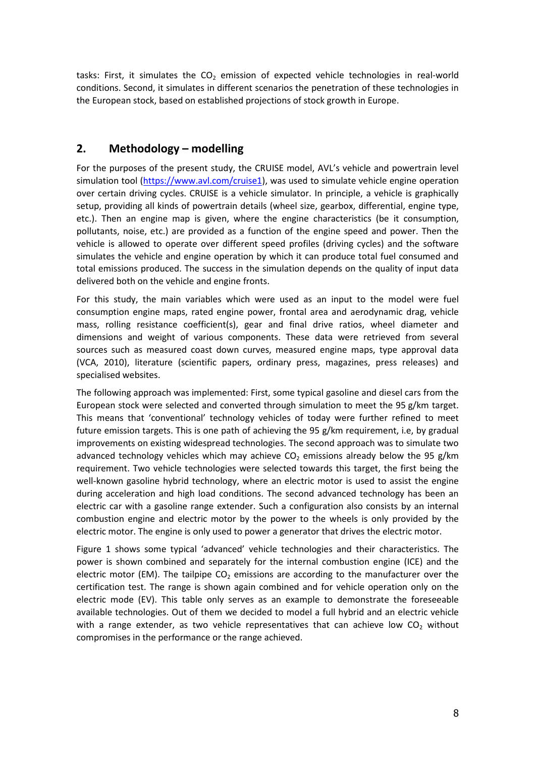<span id="page-9-0"></span>tasks: First, it simulates the  $CO<sub>2</sub>$  emission of expected vehicle technologies in real-world conditions. Second, it simulates in different scenarios the penetration of these technologies in the European stock, based on established projections of stock growth in Europe.

# **2. Methodology – modelling**

 For the purposes of the present study, the CRUISE model, AVL's vehicle and powertrain level simulation tool [\(https://www.avl.com/cruise1](https://www.avl.com/cruise1)), was used to simulate vehicle engine operation over certain driving cycles. CRUISE is a vehicle simulator. In principle, a vehicle is graphically setup, providing all kinds of powertrain details (wheel size, gearbox, differential, engine type, etc.). Then an engine map is given, where the engine characteristics (be it consumption, pollutants, noise, etc.) are provided as a function of the engine speed and power. Then the vehicle is allowed to operate over different speed profiles (driving cycles) and the software simulates the vehicle and engine operation by which it can produce total fuel consumed and total emissions produced. The success in the simulation depends on the quality of input data delivered both on the vehicle and engine fronts.

 For this study, the main variables which were used as an input to the model were fuel consumption engine maps, rated engine power, frontal area and aerodynamic drag, vehicle mass, rolling resistance coefficient(s), gear and final drive ratios, wheel diameter and dimensions and weight of various components. These data were retrieved from several sources such as measured coast down curves, measured engine maps, type approval data (VCA, 2010), literature (scientific papers, ordinary press, magazines, press releases) and specialised websites.

 The following approach was implemented: First, some typical gasoline and diesel cars from the European stock were selected and converted through simulation to meet the 95 g/km target. This means that 'conventional' technology vehicles of today were further refined to meet future emission targets. This is one path of achieving the 95 g/km requirement, i.e, by gradual improvements on existing widespread technologies. The second approach was to simulate two advanced technology vehicles which may achieve  $CO<sub>2</sub>$  emissions already below the 95 g/km requirement. Two vehicle technologies were selected towards this target, the first being the well-known gasoline hybrid technology, where an electric motor is used to assist the engine during acceleration and high load conditions. The second advanced technology has been an electric car with a gasoline range extender. Such a configuration also consists by an internal combustion engine and electric motor by the power to the wheels is only provided by the electric motor. The engine is only used to power a generator that drives the electric motor.

 [Figure 1](#page-10-0) shows some typical 'advanced' vehicle technologies and their characteristics. The power is shown combined and separately for the internal combustion engine (ICE) and the electric motor (EM). The tailpipe  $CO<sub>2</sub>$  emissions are according to the manufacturer over the certification test. The range is shown again combined and for vehicle operation only on the electric mode (EV). This table only serves as an example to demonstrate the foreseeable available technologies. Out of them we decided to model a full hybrid and an electric vehicle with a range extender, as two vehicle representatives that can achieve low  $CO<sub>2</sub>$  without compromises in the performance or the range achieved.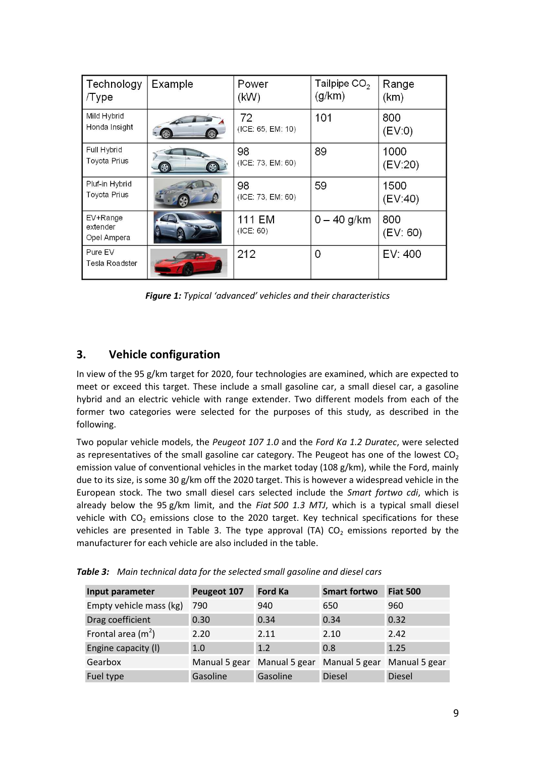<span id="page-10-0"></span>

| Technology<br>/Type                   | Example            | Power<br>(KW)           | Tailpipe $CO2$<br>(g/km) | Range<br>(km)   |
|---------------------------------------|--------------------|-------------------------|--------------------------|-----------------|
| Mild Hybrid<br>Honda Insight          |                    | 72<br>(ICE: 65, EM: 10) | 101                      | 800<br>(EV:0)   |
| Full Hybrid<br><b>Toyota Prius</b>    | $\circledast$<br>⊛ | 98<br>(ICE: 73, EM: 60) | 89                       | 1000<br>(EV 20) |
| Pluf-in Hybrid<br><b>Toyota Prius</b> |                    | 98<br>(ICE: 73, EM: 60) | 59                       | 1500<br>(EV 40) |
| EV+Range<br>extender<br>Opel Ampera   |                    | 111 EM<br>(ICE: 60)     | $0 - 40$ g/km            | 800<br>(EV: 60) |
| Pure EV<br>Tesla Roadster             |                    | 212                     | 0                        | EV: 400         |

 *Figure 1: Typical 'advanced' vehicles and their characteristics*

# **3. Vehicle configuration**

 In view of the 95 g/km target for 2020, four technologies are examined, which are expected to meet or exceed this target. These include a small gasoline car, a small diesel car, a gasoline hybrid and an electric vehicle with range extender. Two different models from each of the former two categories were selected for the purposes of this study, as described in the following.

 Two popular vehicle models, the *Peugeot 107 1.0* and the *Ford Ka 1.2 Duratec*, were selected as representatives of the small gasoline car category. The Peugeot has one of the lowest  $CO<sub>2</sub>$  emission value of conventional vehicles in the market today (108 g/km), while the Ford, mainly due to its size, is some 30 g/km off the 2020 target. This is however a widespread vehicle in the European stock. The two small diesel cars selected include the *Smart fortwo cdi*, which is already below the 95 g/km limit, and the *Fiat 500 1.3 MTJ*, which is a typical small diesel vehicle with  $CO<sub>2</sub>$  emissions close to the 2020 target. Key technical specifications for these vehicles are presented in Table 3. The type approval (TA)  $CO<sub>2</sub>$  emissions reported by the manufacturer for each vehicle are also included in the table.

| Input parameter         | Peugeot 107 | <b>Ford Ka</b>              | <b>Smart fortwo</b>         | <b>Fiat 500</b> |
|-------------------------|-------------|-----------------------------|-----------------------------|-----------------|
| Empty vehicle mass (kg) | 790         | 940                         | 650                         | 960             |
| Drag coefficient        | 0.30        | 0.34                        | 0.34                        | 0.32            |
| Frontal area $(m2)$     | 2.20        | 2.11                        | 2.10                        | 2.42            |
| Engine capacity (I)     | 1.0         | 1.2                         | 0.8                         | 1.25            |
| Gearbox                 |             | Manual 5 gear Manual 5 gear | Manual 5 gear Manual 5 gear |                 |
| Fuel type               | Gasoline    | Gasoline                    | <b>Diesel</b>               | <b>Diesel</b>   |

 *Table 3: Main technical data for the selected small gasoline and diesel cars*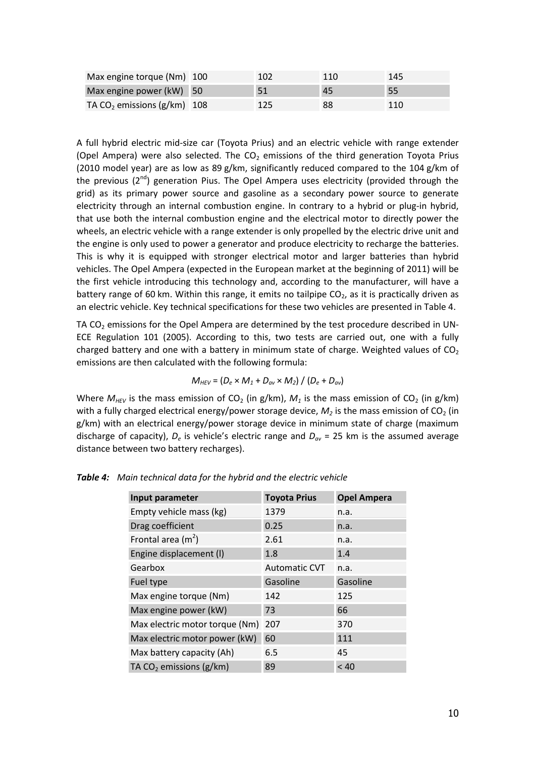| Max engine torque (Nm) 100    | 102 | 110 | 145 |
|-------------------------------|-----|-----|-----|
| Max engine power (kW) 50      | 51  | 45  | -55 |
| TA $CO2$ emissions (g/km) 108 |     | 88  | 110 |

 A full hybrid electric mid-size car (Toyota Prius) and an electric vehicle with range extender (Opel Ampera) were also selected. The  $CO<sub>2</sub>$  emissions of the third generation Toyota Prius (2010 model year) are as low as 89 g/km, significantly reduced compared to the 104 g/km of the previous (2<sup>nd</sup>) generation Pius. The Opel Ampera uses electricity (provided through the grid) as its primary power source and gasoline as a secondary power source to generate electricity through an internal combustion engine. In contrary to a hybrid or plug-in hybrid, that use both the internal combustion engine and the electrical motor to directly power the wheels, an electric vehicle with a range extender is only propelled by the electric drive unit and the engine is only used to power a generator and produce electricity to recharge the batteries. This is why it is equipped with stronger electrical motor and larger batteries than hybrid vehicles. The Opel Ampera (expected in the European market at the beginning of 2011) will be the first vehicle introducing this technology and, according to the manufacturer, will have a battery range of 60 km. Within this range, it emits no tailpipe  $CO<sub>2</sub>$ , as it is practically driven as an electric vehicle. Key technical specifications for these two vehicles are presented in Table 4.

TA CO<sub>2</sub> emissions for the Opel Ampera are determined by the test procedure described in UN- ECE Regulation 101 (2005). According to this, two tests are carried out, one with a fully charged battery and one with a battery in minimum state of charge. Weighted values of  $CO<sub>2</sub>$ emissions are then calculated with the following formula:

$$
M_{HEV} = (D_e \times M_1 + D_{av} \times M_2) / (D_e + D_{av})
$$

Where  $M_{HEV}$  is the mass emission of CO<sub>2</sub> (in g/km),  $M_1$  is the mass emission of CO<sub>2</sub> (in g/km) with a fully charged electrical energy/power storage device,  $M_2$  is the mass emission of CO<sub>2</sub> (in g/km) with an electrical energy/power storage device in minimum state of charge (maximum discharge of capacity), *De* is vehicle's electric range and *Dav* = 25 km is the assumed average distance between two battery recharges).

| Input parameter                | <b>Toyota Prius</b>  | <b>Opel Ampera</b> |
|--------------------------------|----------------------|--------------------|
| Empty vehicle mass (kg)        | 1379                 | n.a.               |
| Drag coefficient               | 0.25                 | n.a.               |
| Frontal area $(m2)$            | 2.61                 | n.a.               |
| Engine displacement (I)        | 1.8                  | 1.4                |
| Gearbox                        | <b>Automatic CVT</b> | n.a.               |
| Fuel type                      | Gasoline             | Gasoline           |
| Max engine torque (Nm)         | 142                  | 125                |
| Max engine power (kW)          | 73                   | 66                 |
| Max electric motor torque (Nm) | 207                  | 370                |
| Max electric motor power (kW)  | 60                   | 111                |
| Max battery capacity (Ah)      | 6.5                  | 45                 |
| TA $CO2$ emissions (g/km)      | 89                   | < 40               |

 *Table 4: Main technical data for the hybrid and the electric vehicle*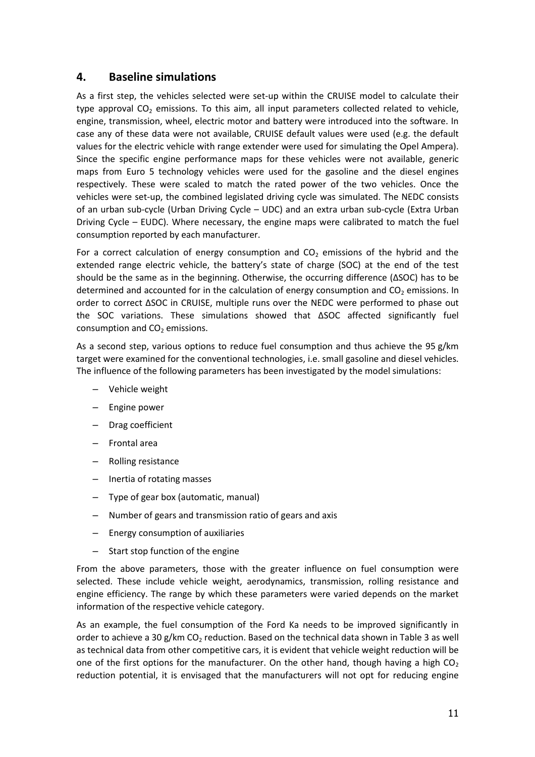# <span id="page-12-0"></span> **4. Baseline simulations**

 As a first step, the vehicles selected were set-up within the CRUISE model to calculate their type approval CO<sub>2</sub> emissions. To this aim, all input parameters collected related to vehicle, engine, transmission, wheel, electric motor and battery were introduced into the software. In case any of these data were not available, CRUISE default values were used (e.g. the default values for the electric vehicle with range extender were used for simulating the Opel Ampera). Since the specific engine performance maps for these vehicles were not available, generic maps from Euro 5 technology vehicles were used for the gasoline and the diesel engines respectively. These were scaled to match the rated power of the two vehicles. Once the vehicles were set-up, the combined legislated driving cycle was simulated. The NEDC consists of an urban sub-cycle (Urban Driving Cycle – UDC) and an extra urban sub-cycle (Extra Urban Driving Cycle – EUDC). Where necessary, the engine maps were calibrated to match the fuel consumption reported by each manufacturer.

For a correct calculation of energy consumption and  $CO<sub>2</sub>$  emissions of the hybrid and the extended range electric vehicle, the battery's state of charge (SOC) at the end of the test should be the same as in the beginning. Otherwise, the occurring difference (ΔSOC) has to be determined and accounted for in the calculation of energy consumption and  $CO<sub>2</sub>$  emissions. In order to correct ΔSOC in CRUISE, multiple runs over the NEDC were performed to phase out the SOC variations. These simulations showed that ΔSOC affected significantly fuel consumption and  $CO<sub>2</sub>$  emissions.

 As a second step, various options to reduce fuel consumption and thus achieve the 95 g/km target were examined for the conventional technologies, i.e. small gasoline and diesel vehicles. The influence of the following parameters has been investigated by the model simulations:

- Vehicle weight
- Engine power
- Drag coefficient
- Frontal area
- Rolling resistance
- Inertia of rotating masses
- Type of gear box (automatic, manual)
- Number of gears and transmission ratio of gears and axis
- Energy consumption of auxiliaries
- Start stop function of the engine

 From the above parameters, those with the greater influence on fuel consumption were selected. These include vehicle weight, aerodynamics, transmission, rolling resistance and engine efficiency. The range by which these parameters were varied depends on the market information of the respective vehicle category.

 As an example, the fuel consumption of the Ford Ka needs to be improved significantly in order to achieve a 30 g/km CO<sub>2</sub> reduction. Based on the technical data shown in [Table 3](#page-10-0) as well as technical data from other competitive cars, it is evident that vehicle weight reduction will be one of the first options for the manufacturer. On the other hand, though having a high  $CO<sub>2</sub>$ reduction potential, it is envisaged that the manufacturers will not opt for reducing engine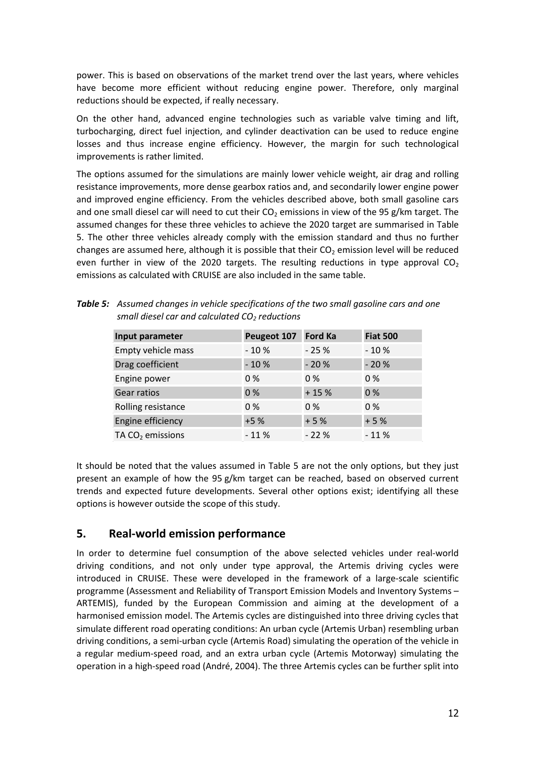<span id="page-13-0"></span> power. This is based on observations of the market trend over the last years, where vehicles have become more efficient without reducing engine power. Therefore, only marginal reductions should be expected, if really necessary.

 On the other hand, advanced engine technologies such as variable valve timing and lift, turbocharging, direct fuel injection, and cylinder deactivation can be used to reduce engine losses and thus increase engine efficiency. However, the margin for such technological improvements is rather limited.

 The options assumed for the simulations are mainly lower vehicle weight, air drag and rolling resistance improvements, more dense gearbox ratios and, and secondarily lower engine power and improved engine efficiency. From the vehicles described above, both small gasoline cars and one small diesel car will need to cut their  $CO<sub>2</sub>$  emissions in view of the 95 g/km target. The assumed changes for these three vehicles to achieve the 2020 target are summarised in Table 5. The other three vehicles already comply with the emission standard and thus no further changes are assumed here, although it is possible that their  $CO<sub>2</sub>$  emission level will be reduced even further in view of the 2020 targets. The resulting reductions in type approval  $CO<sub>2</sub>$ emissions as calculated with CRUISE are also included in the same table.

| Input parameter    | Peugeot 107 | <b>Ford Ka</b> | <b>Fiat 500</b> |
|--------------------|-------------|----------------|-----------------|
| Empty vehicle mass | $-10%$      | $-25%$         | $-10%$          |
| Drag coefficient   | $-10%$      | $-20%$         | $-20%$          |
| Engine power       | $0\%$       | $0\%$          | $0\%$           |
| Gear ratios        | 0%          | $+15%$         | 0%              |
| Rolling resistance | $0\%$       | $0\%$          | $0\%$           |
| Engine efficiency  | $+5%$       | $+5%$          | $+5%$           |
| TA $CO2$ emissions | $-11%$      | $-22%$         | $-11%$          |

Table 5: Assumed changes in vehicle specifications of the two small gasoline cars and one  *small diesel car and calculated CO2 reductions* 

 It should be noted that the values assumed in Table 5 are not the only options, but they just present an example of how the 95 g/km target can be reached, based on observed current trends and expected future developments. Several other options exist; identifying all these options is however outside the scope of this study.

# **5. Real-world emission performance**

 In order to determine fuel consumption of the above selected vehicles under real-world driving conditions, and not only under type approval, the Artemis driving cycles were introduced in CRUISE. These were developed in the framework of a large-scale scientific programme (Assessment and Reliability of Transport Emission Models and Inventory Systems – ARTEMIS), funded by the European Commission and aiming at the development of a harmonised emission model. The Artemis cycles are distinguished into three driving cycles that simulate different road operating conditions: An urban cycle (Artemis Urban) resembling urban driving conditions, a semi-urban cycle (Artemis Road) simulating the operation of the vehicle in a regular medium-speed road, and an extra urban cycle (Artemis Motorway) simulating the operation in a high-speed road (André, 2004). The three Artemis cycles can be further split into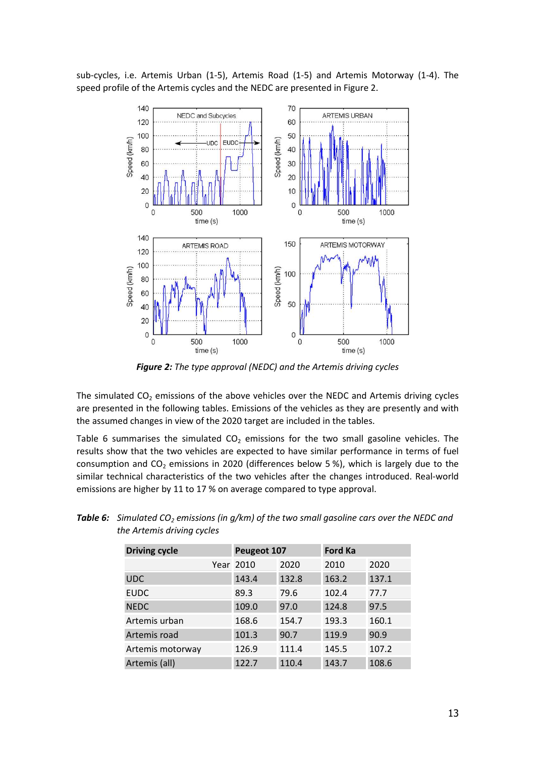sub-cycles, i.e. Artemis Urban (1-5), Artemis Road (1-5) and Artemis Motorway (1-4). The speed profile of the Artemis cycles and the NEDC are presented in Figure 2.



 *Figure 2: The type approval (NEDC) and the Artemis driving cycles* 

The simulated  $CO<sub>2</sub>$  emissions of the above vehicles over the NEDC and Artemis driving cycles are presented in the following tables. Emissions of the vehicles as they are presently and with the assumed changes in view of the 2020 target are included in the tables.

Table 6 summarises the simulated  $CO<sub>2</sub>$  emissions for the two small gasoline vehicles. The results show that the two vehicles are expected to have similar performance in terms of fuel consumption and  $CO<sub>2</sub>$  emissions in 2020 (differences below 5%), which is largely due to the similar technical characteristics of the two vehicles after the changes introduced. Real-world emissions are higher by 11 to 17 % on average compared to type approval.

| <b>Driving cycle</b> | Peugeot 107 |       | <b>Ford Ka</b> |       |
|----------------------|-------------|-------|----------------|-------|
|                      | Year 2010   | 2020  | 2010           | 2020  |
| <b>UDC</b>           | 143.4       | 132.8 | 163.2          | 137.1 |
| <b>EUDC</b>          | 89.3        | 79.6  | 102.4          | 77.7  |
| <b>NEDC</b>          | 109.0       | 97.0  | 124.8          | 97.5  |
| Artemis urban        | 168.6       | 154.7 | 193.3          | 160.1 |
| Artemis road         | 101.3       | 90.7  | 119.9          | 90.9  |
| Artemis motorway     | 126.9       | 111.4 | 145.5          | 107.2 |
| Artemis (all)        | 122.7       | 110.4 | 143.7          | 108.6 |

**Table 6:** Simulated CO<sub>2</sub> emissions (in g/km) of the two small gasoline cars over the NEDC and  *the Artemis driving cycles*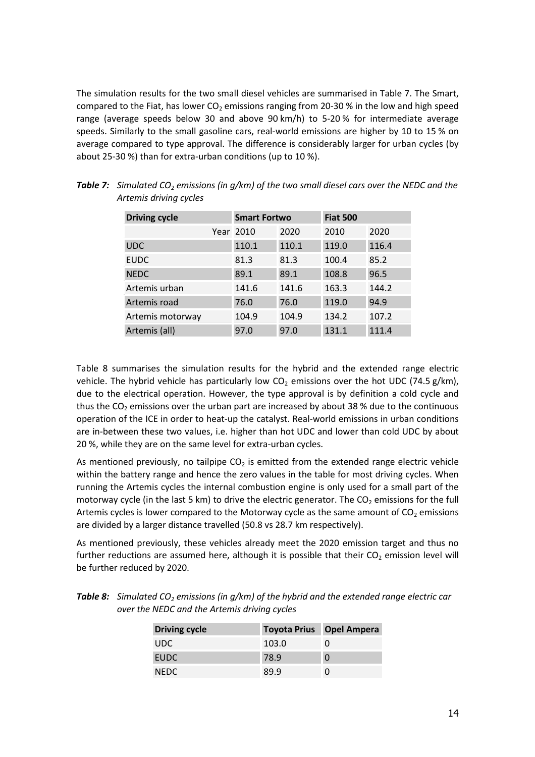<span id="page-15-0"></span> The simulation results for the two small diesel vehicles are summarised in Table 7. The Smart, compared to the Fiat, has lower  $CO<sub>2</sub>$  emissions ranging from 20-30 % in the low and high speed range (average speeds below 30 and above 90 km/h) to 5-20 % for intermediate average speeds. Similarly to the small gasoline cars, real-world emissions are higher by 10 to 15 % on average compared to type approval. The difference is considerably larger for urban cycles (by about 25-30 %) than for extra-urban conditions (up to 10 %).

| <b>Driving cycle</b> | <b>Smart Fortwo</b> |       | <b>Fiat 500</b> |       |  |
|----------------------|---------------------|-------|-----------------|-------|--|
|                      | Year 2010           | 2020  | 2010            | 2020  |  |
| <b>UDC</b>           | 110.1               | 110.1 | 119.0           | 116.4 |  |
| <b>EUDC</b>          | 81.3                | 81.3  | 100.4           | 85.2  |  |
| <b>NEDC</b>          | 89.1                | 89.1  | 108.8           | 96.5  |  |
| Artemis urban        | 141.6               | 141.6 | 163.3           | 144.2 |  |
| Artemis road         | 76.0                | 76.0  | 119.0           | 94.9  |  |
| Artemis motorway     | 104.9               | 104.9 | 134.2           | 107.2 |  |
| Artemis (all)        | 97.0                | 97.0  | 131.1           | 111.4 |  |

**Table 7:** Simulated CO<sub>2</sub> emissions (in g/km) of the two small diesel cars over the NEDC and the  *Artemis driving cycles* 

 Table 8 summarises the simulation results for the hybrid and the extended range electric vehicle. The hybrid vehicle has particularly low  $CO<sub>2</sub>$  emissions over the hot UDC (74.5 g/km), due to the electrical operation. However, the type approval is by definition a cold cycle and thus the CO<sub>2</sub> emissions over the urban part are increased by about 38 % due to the continuous operation of the ICE in order to heat-up the catalyst. Real-world emissions in urban conditions are in-between these two values, i.e. higher than hot UDC and lower than cold UDC by about 20 %, while they are on the same level for extra-urban cycles.

As mentioned previously, no tailpipe  $CO<sub>2</sub>$  is emitted from the extended range electric vehicle within the battery range and hence the zero values in the table for most driving cycles. When running the Artemis cycles the internal combustion engine is only used for a small part of the motorway cycle (in the last 5 km) to drive the electric generator. The CO<sub>2</sub> emissions for the full Artemis cycles is lower compared to the Motorway cycle as the same amount of  $CO<sub>2</sub>$  emissions are divided by a larger distance travelled (50.8 vs 28.7 km respectively).

 As mentioned previously, these vehicles already meet the 2020 emission target and thus no further reductions are assumed here, although it is possible that their  $CO<sub>2</sub>$  emission level will be further reduced by 2020.

| <b>"able 8:</b> Simulated CO <sub>2</sub> emissions (in $g/km$ ) of the hybrid and the extended range electric car |
|--------------------------------------------------------------------------------------------------------------------|
| over the NEDC and the Artemis driving cycles                                                                       |

| <b>Toyota Prius</b> Opel Ampera |          |
|---------------------------------|----------|
| 103.0                           |          |
| 78.9                            | $\Omega$ |
| 89.9                            |          |
|                                 |          |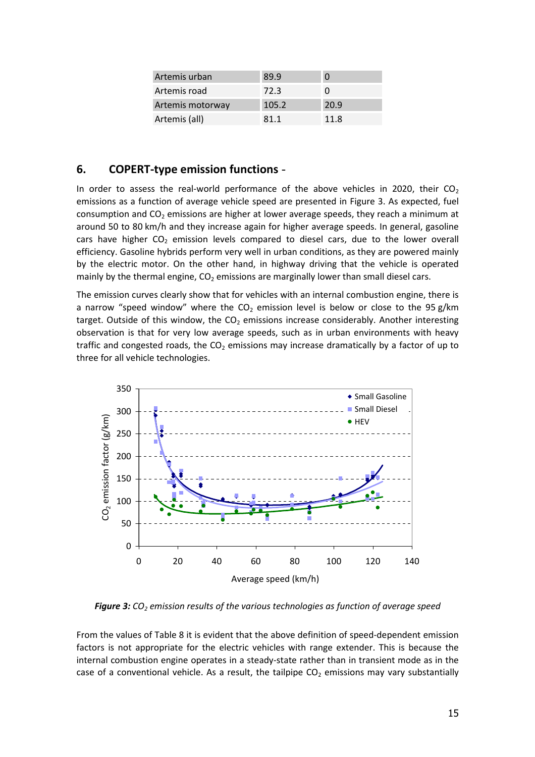<span id="page-16-0"></span>

| Artemis urban    | 89.9  | 0    |
|------------------|-------|------|
| Artemis road     | 72.3  | 0    |
| Artemis motorway | 105.2 | 20.9 |
| Artemis (all)    | 81.1  | 11.8 |

## **6. COPERT-type emission functions**

In order to assess the real-world performance of the above vehicles in 2020, their  $CO<sub>2</sub>$  emissions as a function of average vehicle speed are presented in Figure 3. As expected, fuel consumption and  $CO<sub>2</sub>$  emissions are higher at lower average speeds, they reach a minimum at around 50 to 80 km/h and they increase again for higher average speeds. In general, gasoline cars have higher  $CO<sub>2</sub>$  emission levels compared to diesel cars, due to the lower overall efficiency. Gasoline hybrids perform very well in urban conditions, as they are powered mainly by the electric motor. On the other hand, in highway driving that the vehicle is operated mainly by the thermal engine,  $CO<sub>2</sub>$  emissions are marginally lower than small diesel cars.

 The emission curves clearly show that for vehicles with an internal combustion engine, there is a narrow "speed window" where the  $CO<sub>2</sub>$  emission level is below or close to the 95 g/km target. Outside of this window, the  $CO<sub>2</sub>$  emissions increase considerably. Another interesting observation is that for very low average speeds, such as in urban environments with heavy traffic and congested roads, the  $CO<sub>2</sub>$  emissions may increase dramatically by a factor of up to three for all vehicle technologies.



**Figure 3:** CO<sub>2</sub> emission results of the various technologies as function of average speed

 From the values of [Table 8 i](#page-15-0)t is evident that the above definition of speed-dependent emission factors is not appropriate for the electric vehicles with range extender. This is because the internal combustion engine operates in a steady-state rather than in transient mode as in the case of a conventional vehicle. As a result, the tailpipe  $CO<sub>2</sub>$  emissions may vary substantially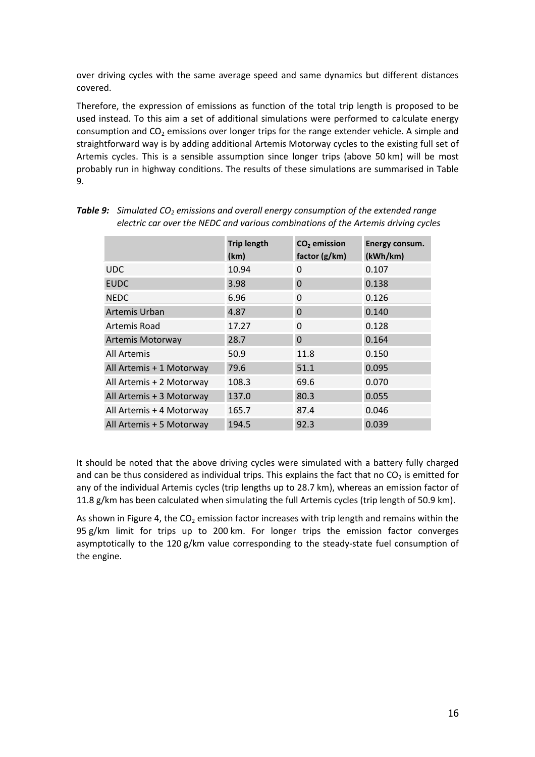<span id="page-17-0"></span> over driving cycles with the same average speed and same dynamics but different distances covered.

 Therefore, the expression of emissions as function of the total trip length is proposed to be used instead. To this aim a set of additional simulations were performed to calculate energy consumption and  $CO<sub>2</sub>$  emissions over longer trips for the range extender vehicle. A simple and straightforward way is by adding additional Artemis Motorway cycles to the existing full set of Artemis cycles. This is a sensible assumption since longer trips (above 50 km) will be most probably run in highway conditions. The results of these simulations are summarised in Table 9.

|                          | <b>Trip length</b><br>(km) | CO <sub>2</sub> emission<br>factor (g/km) | Energy consum.<br>(kWh/km) |
|--------------------------|----------------------------|-------------------------------------------|----------------------------|
| <b>UDC</b>               | 10.94                      | 0                                         | 0.107                      |
| <b>EUDC</b>              | 3.98                       | 0                                         | 0.138                      |
| <b>NEDC</b>              | 6.96                       | 0                                         | 0.126                      |
| <b>Artemis Urban</b>     | 4.87                       | $\Omega$                                  | 0.140                      |
| Artemis Road             | 17.27                      | 0                                         | 0.128                      |
| <b>Artemis Motorway</b>  | 28.7                       | $\Omega$                                  | 0.164                      |
| All Artemis              | 50.9                       | 11.8                                      | 0.150                      |
| All Artemis + 1 Motorway | 79.6                       | 51.1                                      | 0.095                      |
| All Artemis + 2 Motorway | 108.3                      | 69.6                                      | 0.070                      |
| All Artemis + 3 Motorway | 137.0                      | 80.3                                      | 0.055                      |
| All Artemis + 4 Motorway | 165.7                      | 87.4                                      | 0.046                      |
| All Artemis + 5 Motorway | 194.5                      | 92.3                                      | 0.039                      |

**Table 9:** Simulated CO<sub>2</sub> emissions and overall energy consumption of the extended range  *electric car over the NEDC and various combinations of the Artemis driving cycles* 

 It should be noted that the above driving cycles were simulated with a battery fully charged and can be thus considered as individual trips. This explains the fact that no CO<sub>2</sub> is emitted for any of the individual Artemis cycles (trip lengths up to 28.7 km), whereas an emission factor of 11.8 g/km has been calculated when simulating the full Artemis cycles (trip length of 50.9 km).

As shown in [Figure 4,](#page-18-0) the CO<sub>2</sub> emission factor increases with trip length and remains within the 95 g/km limit for trips up to 200 km. For longer trips the emission factor converges asymptotically to the 120 g/km value corresponding to the steady-state fuel consumption of the engine.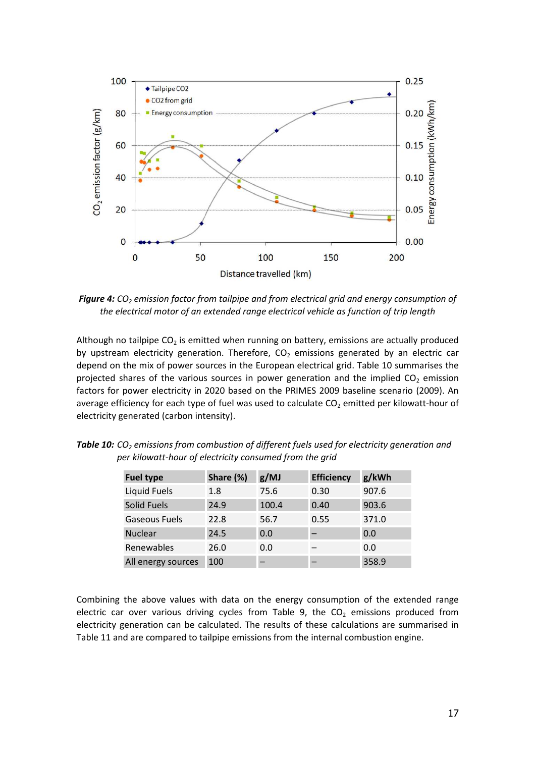<span id="page-18-0"></span>

**Figure 4:** CO<sub>2</sub> emission factor from tailpipe and from electrical grid and energy consumption of  *the electrical motor of an extended range electrical vehicle as function of trip length* 

Although no tailpipe  $CO<sub>2</sub>$  is emitted when running on battery, emissions are actually produced by upstream electricity generation. Therefore,  $CO<sub>2</sub>$  emissions generated by an electric car depend on the mix of power sources in the European electrical grid. Table 10 summarises the projected shares of the various sources in power generation and the implied  $CO<sub>2</sub>$  emission factors for power electricity in 2020 based on the PRIMES 2009 baseline scenario (2009). An average efficiency for each type of fuel was used to calculate  $CO<sub>2</sub>$  emitted per kilowatt-hour of electricity generated (carbon intensity).

| <b>Fuel type</b>     | Share (%) | g/MJ  | <b>Efficiency</b> | g/kWh |
|----------------------|-----------|-------|-------------------|-------|
| <b>Liquid Fuels</b>  | 1.8       | 75.6  | 0.30              | 907.6 |
| <b>Solid Fuels</b>   | 24.9      | 100.4 | 0.40              | 903.6 |
| <b>Gaseous Fuels</b> | 22.8      | 56.7  | 0.55              | 371.0 |
| <b>Nuclear</b>       | 24.5      | 0.0   |                   | 0.0   |
| Renewables           | 26.0      | 0.0   |                   | 0.0   |
| All energy sources   | 100       |       |                   | 358.9 |

**Table 10:** CO<sub>2</sub> emissions from combustion of different fuels used for electricity generation and  *per kilowatt-hour of electricity consumed from the grid*

 Combining the above values with data on the energy consumption of the extended range electric car over various driving cycles from [Table 9,](#page-17-0) the  $CO<sub>2</sub>$  emissions produced from electricity generation can be calculated. The results of these calculations are summarised in [Table 11](#page-19-0) and are compared to tailpipe emissions from the internal combustion engine.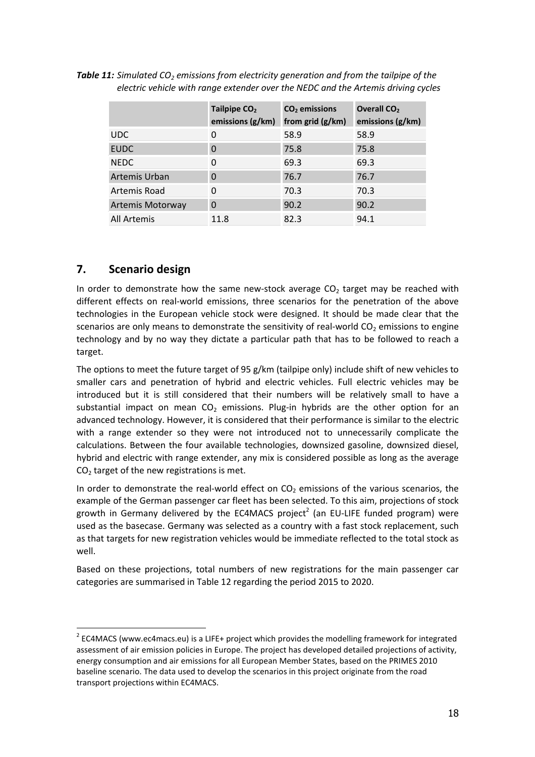|                    | Tailpipe CO <sub>2</sub><br>emissions (g/km) | CO <sub>2</sub> emissions<br>from grid (g/km) | Overall CO <sub>2</sub><br>emissions (g/km) |
|--------------------|----------------------------------------------|-----------------------------------------------|---------------------------------------------|
| UDC.               | 0                                            | 58.9                                          | 58.9                                        |
| <b>EUDC</b>        | $\Omega$                                     | 75.8                                          | 75.8                                        |
| <b>NEDC</b>        | 0                                            | 69.3                                          | 69.3                                        |
| Artemis Urban      | $\Omega$                                     | 76.7                                          | 76.7                                        |
| Artemis Road       | 0                                            | 70.3                                          | 70.3                                        |
| Artemis Motorway   | $\Omega$                                     | 90.2                                          | 90.2                                        |
| <b>All Artemis</b> | 11.8                                         | 82.3                                          | 94.1                                        |

<span id="page-19-0"></span>**Table 11:** Simulated CO<sub>2</sub> emissions from electricity generation and from the tailpipe of the  *electric vehicle with range extender over the NEDC and the Artemis driving cycles* 

# **7. Scenario design**

In order to demonstrate how the same new-stock average  $CO<sub>2</sub>$  target may be reached with different effects on real-world emissions, three scenarios for the penetration of the above technologies in the European vehicle stock were designed. It should be made clear that the scenarios are only means to demonstrate the sensitivity of real-world CO<sub>2</sub> emissions to engine technology and by no way they dictate a particular path that has to be followed to reach a target.

 The options to meet the future target of 95 g/km (tailpipe only) include shift of new vehicles to smaller cars and penetration of hybrid and electric vehicles. Full electric vehicles may be introduced but it is still considered that their numbers will be relatively small to have a substantial impact on mean  $CO<sub>2</sub>$  emissions. Plug-in hybrids are the other option for an advanced technology. However, it is considered that their performance is similar to the electric with a range extender so they were not introduced not to unnecessarily complicate the calculations. Between the four available technologies, downsized gasoline, downsized diesel, hybrid and electric with range extender, any mix is considered possible as long as the average  $CO<sub>2</sub>$  target of the new registrations is met.

In order to demonstrate the real-world effect on  $CO<sub>2</sub>$  emissions of the various scenarios, the example of the German passenger car fleet has been selected. To this aim, projections of stock growth in Germany delivered by the EC4MACS project<sup>2</sup> (an EU-LIFE funded program) were used as the basecase. Germany was selected as a country with a fast stock replacement, such as that targets for new registration vehicles would be immediate reflected to the total stock as well.

 Based on these projections, total numbers of new registrations for the main passenger car categories are summarised in [Table 12](#page-20-0) regarding the period 2015 to 2020.

 $2^{2}$  EC4MACS (www.ec4macs.eu) is a LIFE+ project which provides the modelling framework for integrated assessment of air emission policies in Europe. The project has developed detailed projections of activity, energy consumption and air emissions for all European Member States, based on the PRIMES 2010 baseline scenario. The data used to develop the scenarios in this project originate from the road transport projections within EC4MACS.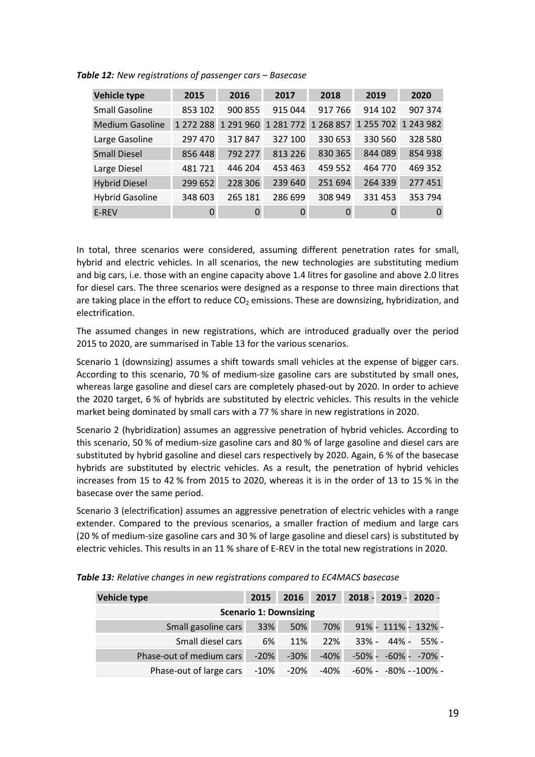| Vehicle type           | 2015      | 2016      | 2017      | 2018      | 2019      | 2020      |
|------------------------|-----------|-----------|-----------|-----------|-----------|-----------|
| <b>Small Gasoline</b>  | 853 102   | 900 855   | 915 044   | 917 766   | 914 102   | 907 374   |
| <b>Medium Gasoline</b> | 1 272 288 | 1 291 960 | 1 281 772 | 1 268 857 | 1 255 702 | 1 243 982 |
| Large Gasoline         | 297 470   | 317847    | 327 100   | 330 653   | 330 560   | 328 580   |
| <b>Small Diesel</b>    | 856 448   | 792 277   | 813 226   | 830 365   | 844 089   | 854 938   |
| Large Diesel           | 481721    | 446 204   | 453 463   | 459 552   | 464 770   | 469 352   |
| <b>Hybrid Diesel</b>   | 299 652   | 228 306   | 239 640   | 251 694   | 264 339   | 277 451   |
| <b>Hybrid Gasoline</b> | 348 603   | 265 181   | 286 699   | 308 949   | 331453    | 353 794   |
| E-REV                  | $\Omega$  | $\Omega$  | $\Omega$  | 0         | 0         | $\Omega$  |

<span id="page-20-0"></span> *Table 12: New registrations of passenger cars – Basecase*

 In total, three scenarios were considered, assuming different penetration rates for small, hybrid and electric vehicles. In all scenarios, the new technologies are substituting medium and big cars, i.e. those with an engine capacity above 1.4 litres for gasoline and above 2.0 litres for diesel cars. The three scenarios were designed as a response to three main directions that are taking place in the effort to reduce  $CO<sub>2</sub>$  emissions. These are downsizing, hybridization, and electrification.

 The assumed changes in new registrations, which are introduced gradually over the period 2015 to 2020, are summarised in Table 13 for the various scenarios.

 Scenario 1 (downsizing) assumes a shift towards small vehicles at the expense of bigger cars. According to this scenario, 70 % of medium-size gasoline cars are substituted by small ones, whereas large gasoline and diesel cars are completely phased-out by 2020. In order to achieve the 2020 target, 6 % of hybrids are substituted by electric vehicles. This results in the vehicle market being dominated by small cars with a 77 % share in new registrations in 2020.

 Scenario 2 (hybridization) assumes an aggressive penetration of hybrid vehicles. According to this scenario, 50 % of medium-size gasoline cars and 80 % of large gasoline and diesel cars are substituted by hybrid gasoline and diesel cars respectively by 2020. Again, 6 % of the basecase hybrids are substituted by electric vehicles. As a result, the penetration of hybrid vehicles increases from 15 to 42 % from 2015 to 2020, whereas it is in the order of 13 to 15 % in the basecase over the same period.

 Scenario 3 (electrification) assumes an aggressive penetration of electric vehicles with a range extender. Compared to the previous scenarios, a smaller fraction of medium and large cars (20 % of medium-size gasoline cars and 30 % of large gasoline and diesel cars) is substituted by electric vehicles. This results in an 11 % share of E-REV in the total new registrations in 2020.

| Vehicle type                      | 2015   | 2016   | 2017 |                                        |  | 2018 - 2019 - 2020 -   |  |  |  |  |  |
|-----------------------------------|--------|--------|------|----------------------------------------|--|------------------------|--|--|--|--|--|
| <b>Scenario 1: Downsizing</b>     |        |        |      |                                        |  |                        |  |  |  |  |  |
| Small gasoline cars               | 33%    | 50%    | 70%  |                                        |  | 91% - 111% - 132% -    |  |  |  |  |  |
| Small diesel cars                 | 6%     | 11%    | 22%  |                                        |  | $33\% - 44\% - 55\% -$ |  |  |  |  |  |
| Phase-out of medium cars          | $-20%$ | $-30%$ | -40% |                                        |  | -50% - -60% - -70% -   |  |  |  |  |  |
| Phase-out of large cars -10% -20% |        |        |      | $-40\%$ $-60\%$ - $-80\%$ - $-100\%$ - |  |                        |  |  |  |  |  |

 *Table 13: Relative changes in new registrations compared to EC4MACS basecase*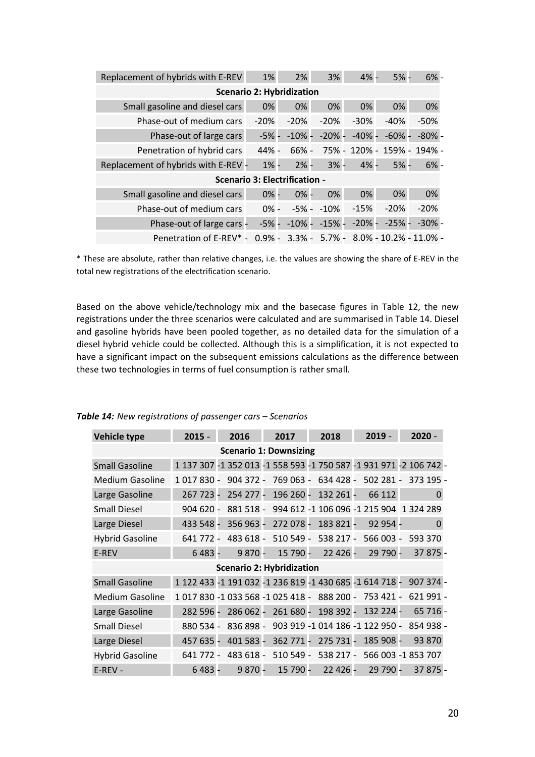| Replacement of hybrids with E-REV   | 1%                                   | 2%        | 3%                | $4% -$   | $5% -$    | $6% -$                                  |  |  |  |  |  |  |
|-------------------------------------|--------------------------------------|-----------|-------------------|----------|-----------|-----------------------------------------|--|--|--|--|--|--|
| <b>Scenario 2: Hybridization</b>    |                                      |           |                   |          |           |                                         |  |  |  |  |  |  |
| Small gasoline and diesel cars      | 0%                                   | 0%        | 0%                | 0%       | 0%        | 0%                                      |  |  |  |  |  |  |
| Phase-out of medium cars            | $-20%$                               | $-20%$    | $-20%$            | $-30%$   | $-40%$    | $-50%$                                  |  |  |  |  |  |  |
| Phase-out of large cars             | $-5% -$                              | $-10\%$ - | $-20%$ -          | $-40% -$ | $-60\%$ - | $-80%$ -                                |  |  |  |  |  |  |
| Penetration of hybrid cars          | 44% -                                | $66% -$   |                   |          |           | 75% - 120% - 159% - 194% -              |  |  |  |  |  |  |
| Replacement of hybrids with E-REV - | $1% -$                               | $2% -$    | $3% -$            | $4% -$   | $5% -$    | $6% -$                                  |  |  |  |  |  |  |
|                                     | <b>Scenario 3: Electrification -</b> |           |                   |          |           |                                         |  |  |  |  |  |  |
| Small gasoline and diesel cars      | $0% -$                               | $0% -$    | 0%                | 0%       | 0%        | 0%                                      |  |  |  |  |  |  |
| Phase-out of medium cars            | $0% -$                               |           | -5% - -10%        | $-15%$   | $-20%$    | $-20%$                                  |  |  |  |  |  |  |
| Phase-out of large cars -           | $-5% -$                              |           | $-10\% - -15\% -$ | $-20%$ - | $-25%$ -  | -30% -                                  |  |  |  |  |  |  |
| Penetration of E-REV* -             | $0.9% -$                             |           |                   |          |           | $3.3\%$ - 5.7% - 8.0% - 10.2% - 11.0% - |  |  |  |  |  |  |

 \* These are absolute, rather than relative changes, i.e. the values are showing the share of E-REV in the total new registrations of the electrification scenario.

 Based on the above vehicle/technology mix and the basecase figures in [Table 12,](#page-20-0) the new registrations under the three scenarios were calculated and are summarised in Table 14. Diesel and gasoline hybrids have been pooled together, as no detailed data for the simulation of a diesel hybrid vehicle could be collected. Although this is a simplification, it is not expected to have a significant impact on the subsequent emissions calculations as the difference between these two technologies in terms of fuel consumption is rather small.

| <b>Vehicle type</b>           | $2015 -$                                                           |  | 2016        |  | 2017                                    |  | 2018      |           |  | $2019 -$ |            | $2020 -$           |          |  |
|-------------------------------|--------------------------------------------------------------------|--|-------------|--|-----------------------------------------|--|-----------|-----------|--|----------|------------|--------------------|----------|--|
| <b>Scenario 1: Downsizing</b> |                                                                    |  |             |  |                                         |  |           |           |  |          |            |                    |          |  |
| <b>Small Gasoline</b>         | 1 137 307 -1 352 013 -1 558 593 -1 750 587 -1 931 971 -2 106 742 - |  |             |  |                                         |  |           |           |  |          |            |                    |          |  |
| <b>Medium Gasoline</b>        | 1 017 830 -                                                        |  | $904.372 -$ |  | 769 063 -                               |  | 634 428 - |           |  |          | $502281 -$ | 373 195 -          |          |  |
| Large Gasoline                | 267 723 -                                                          |  | 254 277 -   |  | 196 260 -                               |  | 132 261 - |           |  |          | 66 112     |                    | $\Omega$ |  |
| <b>Small Diesel</b>           | $904620 -$                                                         |  | 881 518 -   |  | 994 612 -1 106 096 -1 215 904 1 324 289 |  |           |           |  |          |            |                    |          |  |
| Large Diesel                  | 433 548 -                                                          |  | 356 963 -   |  | 272 078 -                               |  |           | 183 821 - |  |          | 92 954 -   |                    | 0        |  |
| <b>Hybrid Gasoline</b>        | 641 772 -                                                          |  | 483 618 -   |  | 510 549 -                               |  | 538 217 - |           |  |          | 566 003 -  | 593 370            |          |  |
| E-REV                         | $6483 -$                                                           |  | $9870 -$    |  | 15 790 -                                |  |           | 22 4 26 - |  |          | 29 790 -   |                    | 37 875 - |  |
|                               |                                                                    |  |             |  | <b>Scenario 2: Hybridization</b>        |  |           |           |  |          |            |                    |          |  |
| <b>Small Gasoline</b>         | 1 122 433 -1 191 032 -1 236 819 -1 430 685 -1 614 718 -            |  |             |  |                                         |  |           |           |  |          |            | 907 374 -          |          |  |
| <b>Medium Gasoline</b>        | 1017830-1033568-1025418-                                           |  |             |  |                                         |  | 888 200 - |           |  |          | 753 421 -  | 621 991 -          |          |  |
| Large Gasoline                | 282 596 -                                                          |  | 286 062 -   |  | 261 680 -                               |  | 198 392 - |           |  |          | 132 224 -  |                    | 65 716 - |  |
| <b>Small Diesel</b>           | 880 534 -                                                          |  | 836 898 -   |  | 903 919 -1 014 186 -1 122 950 -         |  |           |           |  |          |            | 854 938 -          |          |  |
| Large Diesel                  | 457 635 -                                                          |  | 401 583 -   |  | 362 771 -                               |  | 275 731 - |           |  |          | 185 908 -  |                    | 93 870   |  |
| <b>Hybrid Gasoline</b>        | 641 772 -                                                          |  | 483 618 -   |  | 510 549 -                               |  |           | 538 217 - |  |          |            | 566 003 -1 853 707 |          |  |
| $E$ -REV -                    | $6483 -$                                                           |  | $9870 -$    |  | 15 790 -                                |  |           | 22 4 26 - |  |          | 29 790 -   |                    | 37 875 - |  |

#### *Table 14: New registrations of passenger cars – Scenarios*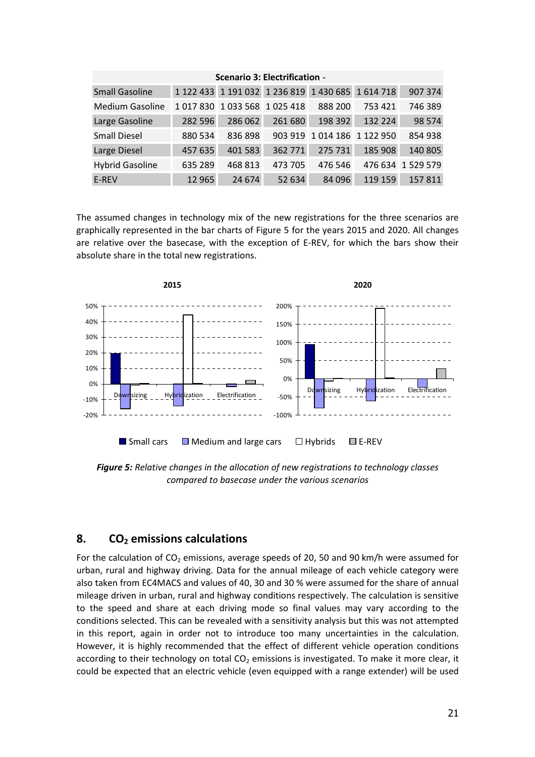<span id="page-22-0"></span>

| <b>Scenario 3: Electrification -</b> |               |                     |                                                   |                     |         |           |  |  |  |  |  |  |  |
|--------------------------------------|---------------|---------------------|---------------------------------------------------|---------------------|---------|-----------|--|--|--|--|--|--|--|
| <b>Small Gasoline</b>                |               |                     | 1 122 433 1 191 032 1 236 819 1 430 685 1 614 718 |                     |         | 907 374   |  |  |  |  |  |  |  |
| <b>Medium Gasoline</b>               | 1 0 1 7 8 3 0 | 1 033 568 1 025 418 |                                                   | 888 200             | 753 421 | 746 389   |  |  |  |  |  |  |  |
| Large Gasoline                       | 282 596       | 286 062             | 261 680                                           | 198 392             | 132 224 | 98 5 74   |  |  |  |  |  |  |  |
| <b>Small Diesel</b>                  | 880 534       | 836898              | 903 919                                           | 1 014 186 1 122 950 |         | 854 938   |  |  |  |  |  |  |  |
| Large Diesel                         | 457 635       | 401 583             | 362 771                                           | 275 731             | 185 908 | 140 805   |  |  |  |  |  |  |  |
| <b>Hybrid Gasoline</b>               | 635 289       | 468 813             | 473 705                                           | 476 546             | 476 634 | 1 529 579 |  |  |  |  |  |  |  |
| E-REV                                | 12 9 65       | 24 674              | 52 634                                            | 84 096              | 119 159 | 157811    |  |  |  |  |  |  |  |

 The assumed changes in technology mix of the new registrations for the three scenarios are graphically represented in the bar charts of Figure 5 for the years 2015 and 2020. All changes are relative over the basecase, with the exception of E-REV, for which the bars show their absolute share in the total new registrations.



 *Figure 5: Relative changes in the allocation of new registrations to technology classes compared to basecase under the various scenarios* 

# 8. CO<sub>2</sub> emissions calculations

For the calculation of  $CO<sub>2</sub>$  emissions, average speeds of 20, 50 and 90 km/h were assumed for urban, rural and highway driving. Data for the annual mileage of each vehicle category were also taken from EC4MACS and values of 40, 30 and 30 % were assumed for the share of annual mileage driven in urban, rural and highway conditions respectively. The calculation is sensitive to the speed and share at each driving mode so final values may vary according to the conditions selected. This can be revealed with a sensitivity analysis but this was not attempted in this report, again in order not to introduce too many uncertainties in the calculation. However, it is highly recommended that the effect of different vehicle operation conditions according to their technology on total  $CO<sub>2</sub>$  emissions is investigated. To make it more clear, it could be expected that an electric vehicle (even equipped with a range extender) will be used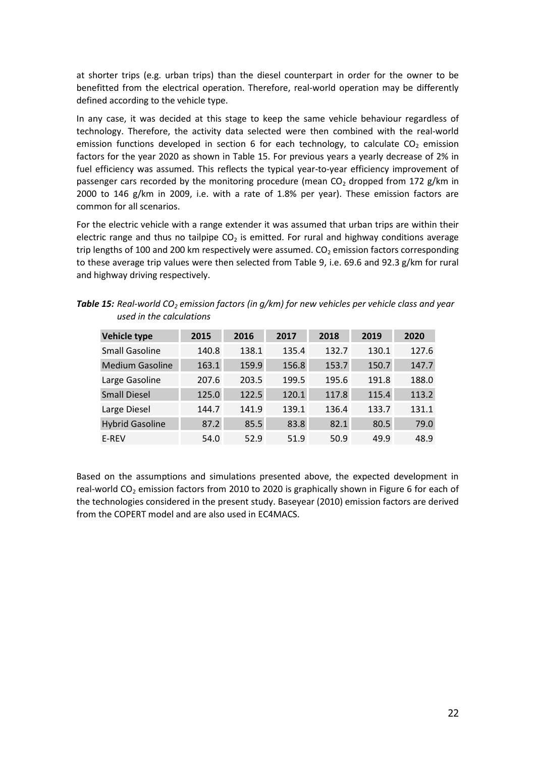at shorter trips (e.g. urban trips) than the diesel counterpart in order for the owner to be benefitted from the electrical operation. Therefore, real-world operation may be differently defined according to the vehicle type.

 In any case, it was decided at this stage to keep the same vehicle behaviour regardless of technology. Therefore, the activity data selected were then combined with the real-world emission functions developed in section [6](#page-16-0) for each technology, to calculate  $CO<sub>2</sub>$  emission factors for the year 2020 as shown in Table 15. For previous years a yearly decrease of 2% in fuel efficiency was assumed. This reflects the typical year-to-year efficiency improvement of passenger cars recorded by the monitoring procedure (mean  $CO<sub>2</sub>$  dropped from 172 g/km in 2000 to 146 g/km in 2009, i.e. with a rate of 1.8% per year). These emission factors are common for all scenarios.

 For the electric vehicle with a range extender it was assumed that urban trips are within their electric range and thus no tailpipe  $CO<sub>2</sub>$  is emitted. For rural and highway conditions average trip lengths of 100 and 200 km respectively were assumed.  $CO<sub>2</sub>$  emission factors corresponding to these average trip values were then selected from [Table 9](#page-17-0), i.e. 69.6 and 92.3 g/km for rural and highway driving respectively.

| <b>Vehicle type</b>    | 2015  | 2016  | 2017  | 2018  | 2019  | 2020  |
|------------------------|-------|-------|-------|-------|-------|-------|
| <b>Small Gasoline</b>  | 140.8 | 138.1 | 135.4 | 132.7 | 130.1 | 127.6 |
| Medium Gasoline        | 163.1 | 159.9 | 156.8 | 153.7 | 150.7 | 147.7 |
| Large Gasoline         | 207.6 | 203.5 | 199.5 | 195.6 | 191.8 | 188.0 |
| <b>Small Diesel</b>    | 125.0 | 122.5 | 120.1 | 117.8 | 115.4 | 113.2 |
| Large Diesel           | 144.7 | 141.9 | 139.1 | 136.4 | 133.7 | 131.1 |
| <b>Hybrid Gasoline</b> | 87.2  | 85.5  | 83.8  | 82.1  | 80.5  | 79.0  |
| E-REV                  | 54.0  | 52.9  | 51.9  | 50.9  | 49.9  | 48.9  |

**Table 15:** Real-world CO<sub>2</sub> emission factors (in g/km) for new vehicles per vehicle class and year  *used in the calculations* 

 Based on the assumptions and simulations presented above, the expected development in real-world CO<sub>2</sub> emission factors from 2010 to 2020 is graphically shown in [Figure 6](#page-24-0) for each of the technologies considered in the present study. Baseyear (2010) emission factors are derived from the COPERT model and are also used in EC4MACS.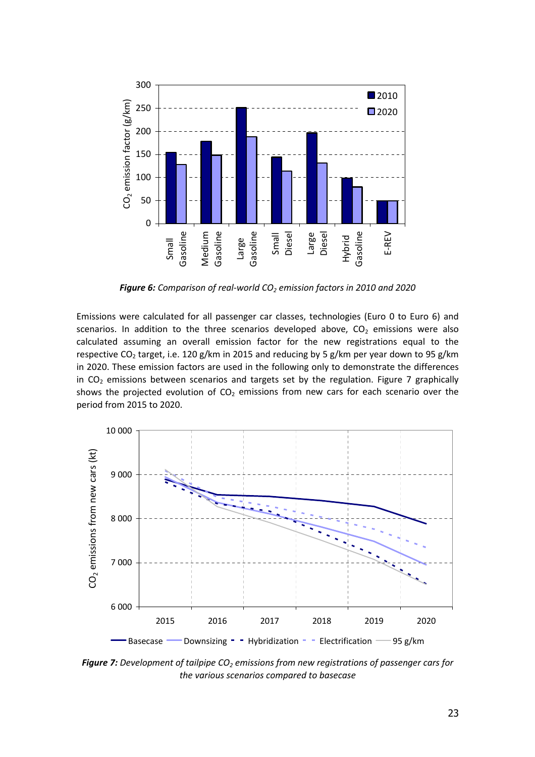<span id="page-24-0"></span>

 *Figure 6: Comparison of real-world CO2 emission factors in 2010 and 2020* 

 Emissions were calculated for all passenger car classes, technologies (Euro 0 to Euro 6) and scenarios. In addition to the three scenarios developed above,  $CO<sub>2</sub>$  emissions were also calculated assuming an overall emission factor for the new registrations equal to the respective CO<sub>2</sub> target, i.e. 120 g/km in 2015 and reducing by 5 g/km per year down to 95 g/km in 2020. These emission factors are used in the following only to demonstrate the differences in  $CO<sub>2</sub>$  emissions between scenarios and targets set by the regulation. Figure 7 graphically shows the projected evolution of CO<sub>2</sub> emissions from new cars for each scenario over the period from 2015 to 2020.



**Figure 7:** Development of tailpipe CO<sub>2</sub> emissions from new registrations of passenger cars for  *the various scenarios compared to basecase*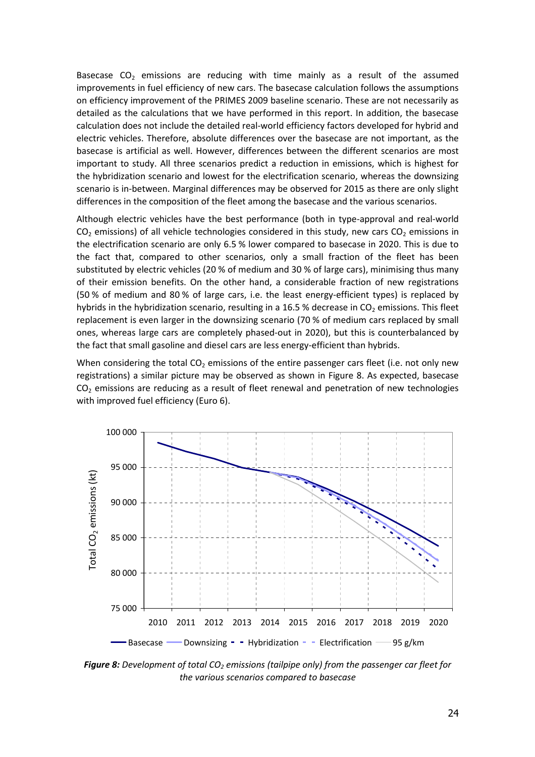<span id="page-25-0"></span>Basecase  $CO<sub>2</sub>$  emissions are reducing with time mainly as a result of the assumed improvements in fuel efficiency of new cars. The basecase calculation follows the assumptions on efficiency improvement of the PRIMES 2009 baseline scenario. These are not necessarily as detailed as the calculations that we have performed in this report. In addition, the basecase calculation does not include the detailed real-world efficiency factors developed for hybrid and electric vehicles. Therefore, absolute differences over the basecase are not important, as the basecase is artificial as well. However, differences between the different scenarios are most important to study. All three scenarios predict a reduction in emissions, which is highest for the hybridization scenario and lowest for the electrification scenario, whereas the downsizing scenario is in-between. Marginal differences may be observed for 2015 as there are only slight differences in the composition of the fleet among the basecase and the various scenarios.

 Although electric vehicles have the best performance (both in type-approval and real-world  $CO<sub>2</sub>$  emissions) of all vehicle technologies considered in this study, new cars  $CO<sub>2</sub>$  emissions in the electrification scenario are only 6.5 % lower compared to basecase in 2020. This is due to the fact that, compared to other scenarios, only a small fraction of the fleet has been substituted by electric vehicles (20 % of medium and 30 % of large cars), minimising thus many of their emission benefits. On the other hand, a considerable fraction of new registrations (50 % of medium and 80 % of large cars, i.e. the least energy-efficient types) is replaced by hybrids in the hybridization scenario, resulting in a 16.5 % decrease in  $CO<sub>2</sub>$  emissions. This fleet replacement is even larger in the downsizing scenario (70 % of medium cars replaced by small ones, whereas large cars are completely phased-out in 2020), but this is counterbalanced by the fact that small gasoline and diesel cars are less energy-efficient than hybrids.

When considering the total  $CO<sub>2</sub>$  emissions of the entire passenger cars fleet (i.e. not only new registrations) a similar picture may be observed as shown in Figure 8. As expected, basecase  $CO<sub>2</sub>$  emissions are reducing as a result of fleet renewal and penetration of new technologies with improved fuel efficiency (Euro 6).



**Figure 8:** Development of total CO<sub>2</sub> emissions (tailpipe only) from the passenger car fleet for  *the various scenarios compared to basecase*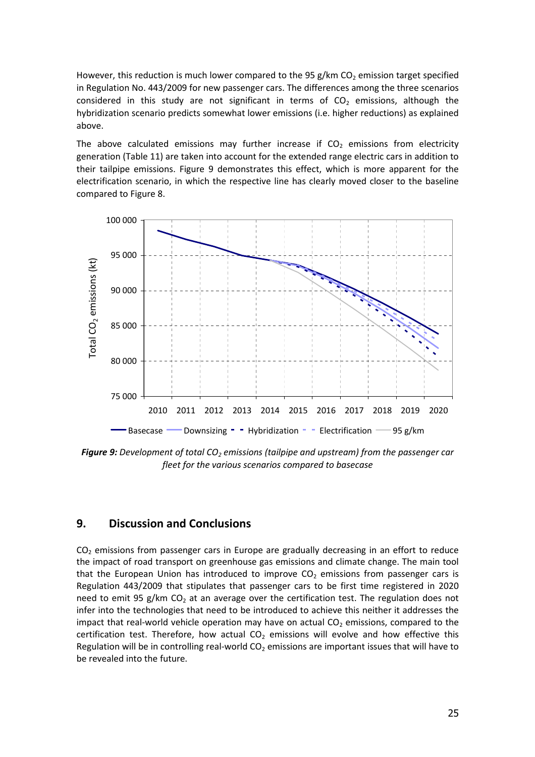<span id="page-26-0"></span>However, this reduction is much lower compared to the 95 g/km  $CO<sub>2</sub>$  emission target specified in Regulation No. 443/2009 for new passenger cars. The differences among the three scenarios considered in this study are not significant in terms of  $CO<sub>2</sub>$  emissions, although the hybridization scenario predicts somewhat lower emissions (i.e. higher reductions) as explained above.

The above calculated emissions may further increase if  $CO<sub>2</sub>$  emissions from electricity generation ([Table 11\)](#page-19-0) are taken into account for the extended range electric cars in addition to their tailpipe emissions. Figure 9 demonstrates this effect, which is more apparent for the electrification scenario, in which the respective line has clearly moved closer to the baseline compared to [Figure 8.](#page-25-0)



**Figure 9:** Development of total CO<sub>2</sub> emissions (tailpipe and upstream) from the passenger car  *fleet for the various scenarios compared to basecase* 

## **9. Discussion and Conclusions**

 $CO<sub>2</sub>$  emissions from passenger cars in Europe are gradually decreasing in an effort to reduce the impact of road transport on greenhouse gas emissions and climate change. The main tool that the European Union has introduced to improve  $CO<sub>2</sub>$  emissions from passenger cars is Regulation 443/2009 that stipulates that passenger cars to be first time registered in 2020 need to emit 95 g/km  $CO<sub>2</sub>$  at an average over the certification test. The regulation does not infer into the technologies that need to be introduced to achieve this neither it addresses the impact that real-world vehicle operation may have on actual  $CO<sub>2</sub>$  emissions, compared to the certification test. Therefore, how actual  $CO<sub>2</sub>$  emissions will evolve and how effective this Regulation will be in controlling real-world  $CO<sub>2</sub>$  emissions are important issues that will have to be revealed into the future.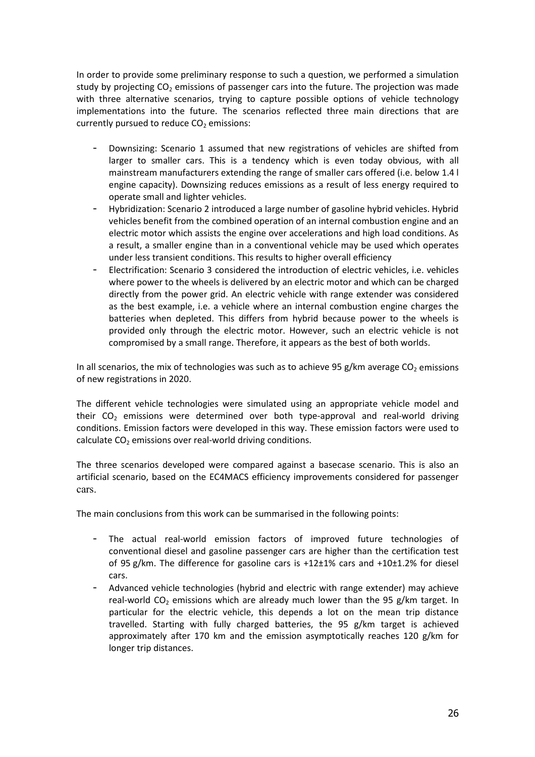In order to provide some preliminary response to such a question, we performed a simulation study by projecting CO<sub>2</sub> emissions of passenger cars into the future. The projection was made with three alternative scenarios, trying to capture possible options of vehicle technology implementations into the future. The scenarios reflected three main directions that are currently pursued to reduce  $CO<sub>2</sub>$  emissions:

- Downsizing: Scenario 1 assumed that new registrations of vehicles are shifted from larger to smaller cars. This is a tendency which is even today obvious, with all mainstream manufacturers extending the range of smaller cars offered (i.e. below 1.4 l engine capacity). Downsizing reduces emissions as a result of less energy required to operate small and lighter vehicles.
- Hybridization: Scenario 2 introduced a large number of gasoline hybrid vehicles. Hybrid vehicles benefit from the combined operation of an internal combustion engine and an electric motor which assists the engine over accelerations and high load conditions. As a result, a smaller engine than in a conventional vehicle may be used which operates under less transient conditions. This results to higher overall efficiency
- Electrification: Scenario 3 considered the introduction of electric vehicles, i.e. vehicles where power to the wheels is delivered by an electric motor and which can be charged directly from the power grid. An electric vehicle with range extender was considered as the best example, i.e. a vehicle where an internal combustion engine charges the batteries when depleted. This differs from hybrid because power to the wheels is provided only through the electric motor. However, such an electric vehicle is not compromised by a small range. Therefore, it appears as the best of both worlds.

In all scenarios, the mix of technologies was such as to achieve 95 g/km average  $CO<sub>2</sub>$  emissions of new registrations in 2020.

 The different vehicle technologies were simulated using an appropriate vehicle model and their  $CO<sub>2</sub>$  emissions were determined over both type-approval and real-world driving conditions. Emission factors were developed in this way. These emission factors were used to calculate  $CO<sub>2</sub>$  emissions over real-world driving conditions.

 The three scenarios developed were compared against a basecase scenario. This is also an artificial scenario, based on the EC4MACS efficiency improvements considered for passenger cars.

The main conclusions from this work can be summarised in the following points:

- The actual real-world emission factors of improved future technologies of conventional diesel and gasoline passenger cars are higher than the certification test of 95 g/km. The difference for gasoline cars is +12±1% cars and +10±1.2% for diesel cars.
- Advanced vehicle technologies (hybrid and electric with range extender) may achieve real-world CO<sub>2</sub> emissions which are already much lower than the 95 g/km target. In particular for the electric vehicle, this depends a lot on the mean trip distance travelled. Starting with fully charged batteries, the 95 g/km target is achieved approximately after 170 km and the emission asymptotically reaches 120 g/km for longer trip distances.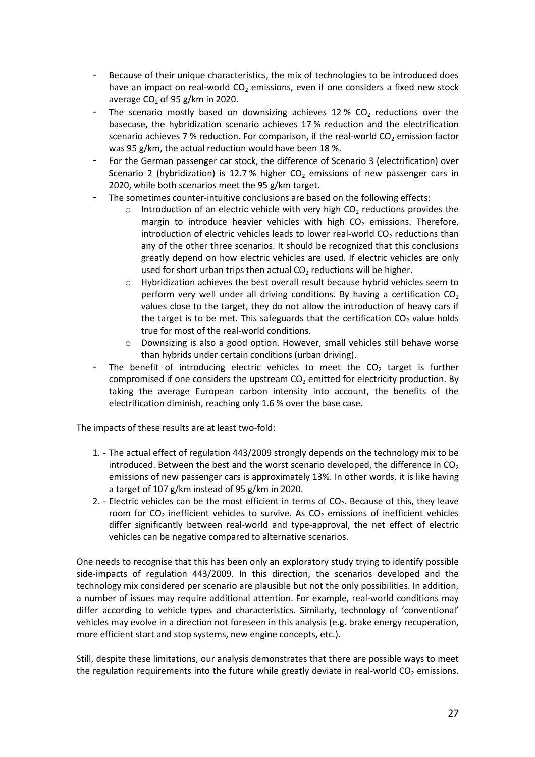- Because of their unique characteristics, the mix of technologies to be introduced does have an impact on real-world  $CO<sub>2</sub>$  emissions, even if one considers a fixed new stock average  $CO<sub>2</sub>$  of 95 g/km in 2020.
- The scenario mostly based on downsizing achieves 12 %  $CO<sub>2</sub>$  reductions over the basecase, the hybridization scenario achieves 17 % reduction and the electrification scenario achieves 7 % reduction. For comparison, if the real-world  $CO<sub>2</sub>$  emission factor was 95 g/km, the actual reduction would have been 18 %.
- For the German passenger car stock, the difference of Scenario 3 (electrification) over Scenario 2 (hybridization) is 12.7 % higher  $CO<sub>2</sub>$  emissions of new passenger cars in 2020, while both scenarios meet the 95 g/km target.
- The sometimes counter-intuitive conclusions are based on the following effects:
	- $\circ$  Introduction of an electric vehicle with very high CO<sub>2</sub> reductions provides the margin to introduce heavier vehicles with high  $CO<sub>2</sub>$  emissions. Therefore, introduction of electric vehicles leads to lower real-world  $CO<sub>2</sub>$  reductions than any of the other three scenarios. It should be recognized that this conclusions greatly depend on how electric vehicles are used. If electric vehicles are only used for short urban trips then actual  $CO<sub>2</sub>$  reductions will be higher.
	- $\circ$  Hybridization achieves the best overall result because hybrid vehicles seem to perform very well under all driving conditions. By having a certification  $CO<sub>2</sub>$  values close to the target, they do not allow the introduction of heavy cars if the target is to be met. This safeguards that the certification  $CO<sub>2</sub>$  value holds true for most of the real-world conditions.
	- $\circ$  Downsizing is also a good option. However, small vehicles still behave worse than hybrids under certain conditions (urban driving).
- The benefit of introducing electric vehicles to meet the  $CO<sub>2</sub>$  target is further compromised if one considers the upstream  $CO<sub>2</sub>$  emitted for electricity production. By taking the average European carbon intensity into account, the benefits of the electrification diminish, reaching only 1.6 % over the base case.

The impacts of these results are at least two-fold:

- 1. The actual effect of regulation 443/2009 strongly depends on the technology mix to be introduced. Between the best and the worst scenario developed, the difference in  $CO<sub>2</sub>$  emissions of new passenger cars is approximately 13%. In other words, it is like having a target of 107 g/km instead of 95 g/km in 2020.
- 2. Electric vehicles can be the most efficient in terms of  $CO<sub>2</sub>$ . Because of this, they leave room for  $CO<sub>2</sub>$  inefficient vehicles to survive. As  $CO<sub>2</sub>$  emissions of inefficient vehicles differ significantly between real-world and type-approval, the net effect of electric vehicles can be negative compared to alternative scenarios.

 One needs to recognise that this has been only an exploratory study trying to identify possible side-impacts of regulation 443/2009. In this direction, the scenarios developed and the technology mix considered per scenario are plausible but not the only possibilities. In addition, a number of issues may require additional attention. For example, real-world conditions may differ according to vehicle types and characteristics. Similarly, technology of 'conventional' vehicles may evolve in a direction not foreseen in this analysis (e.g. brake energy recuperation, more efficient start and stop systems, new engine concepts, etc.).

 Still, despite these limitations, our analysis demonstrates that there are possible ways to meet the regulation requirements into the future while greatly deviate in real-world  $CO<sub>2</sub>$  emissions.